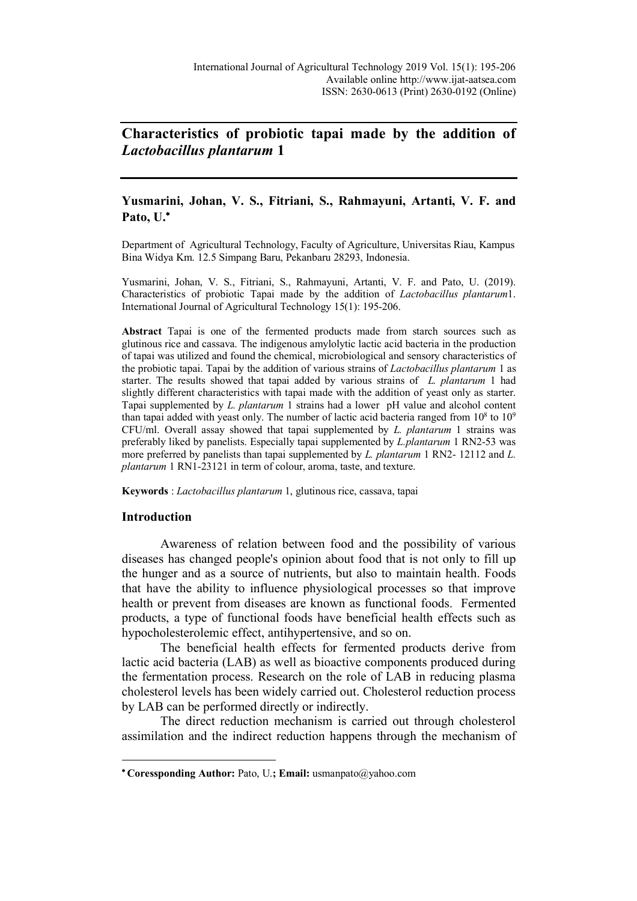# **Characteristics of probiotic tapai made by the addition of**  *Lactobacillus plantarum* **1**

# **Yusmarini, Johan, V. S., Fitriani, S., Rahmayuni, Artanti, V. F. and Pato, U.**\*

Department of Agricultural Technology, Faculty of Agriculture, Universitas Riau, Kampus Bina Widya Km. 12.5 Simpang Baru, Pekanbaru 28293, Indonesia.

Yusmarini, Johan, V. S., Fitriani, S., Rahmayuni, Artanti, V. F. and Pato, U. (2019). Characteristics of probiotic Tapai made by the addition of *Lactobacillus plantarum*1. International Journal of Agricultural Technology 15(1): 195-206.

**Abstract** Tapai is one of the fermented products made from starch sources such as glutinous rice and cassava. The indigenous amylolytic lactic acid bacteria in the production of tapai was utilized and found the chemical, microbiological and sensory characteristics of the probiotic tapai. Tapai by the addition of various strains of *Lactobacillus plantarum* 1 as starter. The results showed that tapai added by various strains of *L. plantarum* 1 had slightly different characteristics with tapai made with the addition of yeast only as starter. Tapai supplemented by *L. plantarum* 1 strains had a lower pH value and alcohol content than tapai added with yeast only. The number of lactic acid bacteria ranged from  $10^8$  to  $10^9$ CFU/ml. Overall assay showed that tapai supplemented by *L. plantarum* 1 strains was preferably liked by panelists. Especially tapai supplemented by *L.plantarum* 1 RN2-53 was more preferred by panelists than tapai supplemented by *L. plantarum* 1 RN2- 12112 and *L. plantarum* 1 RN1-23121 in term of colour, aroma, taste, and texture.

**Keywords** : *Lactobacillus plantarum* 1, glutinous rice, cassava, tapai

# **Introduction**

 $\overline{a}$ 

Awareness of relation between food and the possibility of various diseases has changed people's opinion about food that is not only to fill up the hunger and as a source of nutrients, but also to maintain health. Foods that have the ability to influence physiological processes so that improve health or prevent from diseases are known as functional foods. Fermented products, a type of functional foods have beneficial health effects such as hypocholesterolemic effect, antihypertensive, and so on.

The beneficial health effects for fermented products derive from lactic acid bacteria (LAB) as well as bioactive components produced during the fermentation process. Research on the role of LAB in reducing plasma cholesterol levels has been widely carried out. Cholesterol reduction process by LAB can be performed directly or indirectly.

The direct reduction mechanism is carried out through cholesterol assimilation and the indirect reduction happens through the mechanism of

<sup>\*</sup> **Coressponding Author:** Pato, U.**; Email:** usmanpato@yahoo.com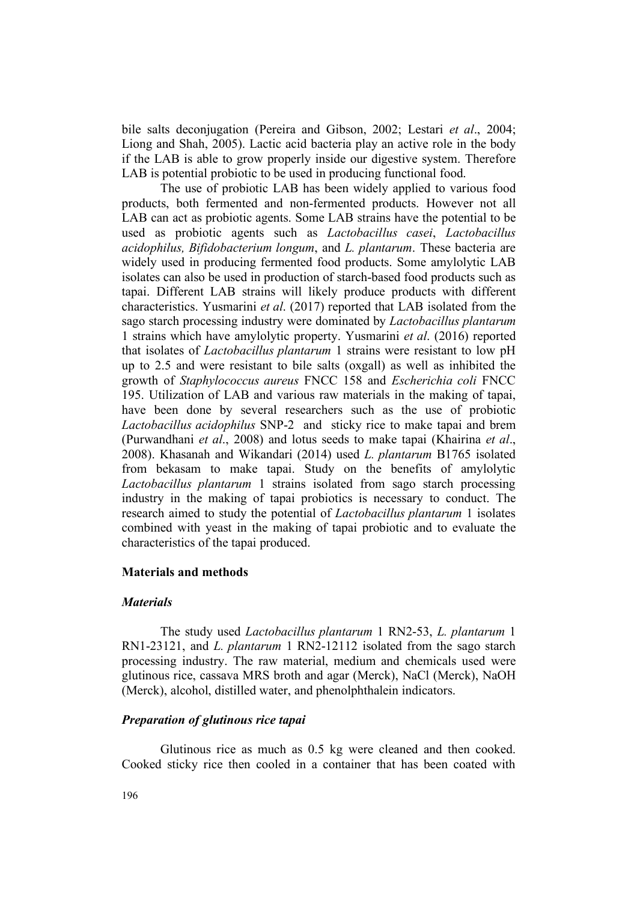bile salts deconjugation (Pereira and Gibson, 2002; Lestari *et al*., 2004; Liong and Shah, 2005). Lactic acid bacteria play an active role in the body if the LAB is able to grow properly inside our digestive system. Therefore LAB is potential probiotic to be used in producing functional food.

The use of probiotic LAB has been widely applied to various food products, both fermented and non-fermented products. However not all LAB can act as probiotic agents. Some LAB strains have the potential to be used as probiotic agents such as *Lactobacillus casei*, *Lactobacillus acidophilus, Bifidobacterium longum*, and *L. plantarum*. These bacteria are widely used in producing fermented food products. Some amylolytic LAB isolates can also be used in production of starch-based food products such as tapai. Different LAB strains will likely produce products with different characteristics. Yusmarini *et al*. (2017) reported that LAB isolated from the sago starch processing industry were dominated by *Lactobacillus plantarum* 1 strains which have amylolytic property. Yusmarini *et al*. (2016) reported that isolates of *Lactobacillus plantarum* 1 strains were resistant to low pH up to 2.5 and were resistant to bile salts (oxgall) as well as inhibited the growth of *Staphylococcus aureus* FNCC 158 and *Escherichia coli* FNCC 195. Utilization of LAB and various raw materials in the making of tapai, have been done by several researchers such as the use of probiotic *Lactobacillus acidophilus* SNP-2 and sticky rice to make tapai and brem (Purwandhani *et al*., 2008) and lotus seeds to make tapai (Khairina *et al*., 2008). Khasanah and Wikandari (2014) used *L. plantarum* B1765 isolated from bekasam to make tapai. Study on the benefits of amylolytic *Lactobacillus plantarum* 1 strains isolated from sago starch processing industry in the making of tapai probiotics is necessary to conduct. The research aimed to study the potential of *Lactobacillus plantarum* 1 isolates combined with yeast in the making of tapai probiotic and to evaluate the characteristics of the tapai produced.

## **Materials and methods**

#### *Materials*

The study used *Lactobacillus plantarum* 1 RN2-53, *L. plantarum* 1 RN1-23121, and *L. plantarum* 1 RN2-12112 isolated from the sago starch processing industry. The raw material, medium and chemicals used were glutinous rice, cassava MRS broth and agar (Merck), NaCl (Merck), NaOH (Merck), alcohol, distilled water, and phenolphthalein indicators.

## *Preparation of glutinous rice tapai*

Glutinous rice as much as 0.5 kg were cleaned and then cooked. Cooked sticky rice then cooled in a container that has been coated with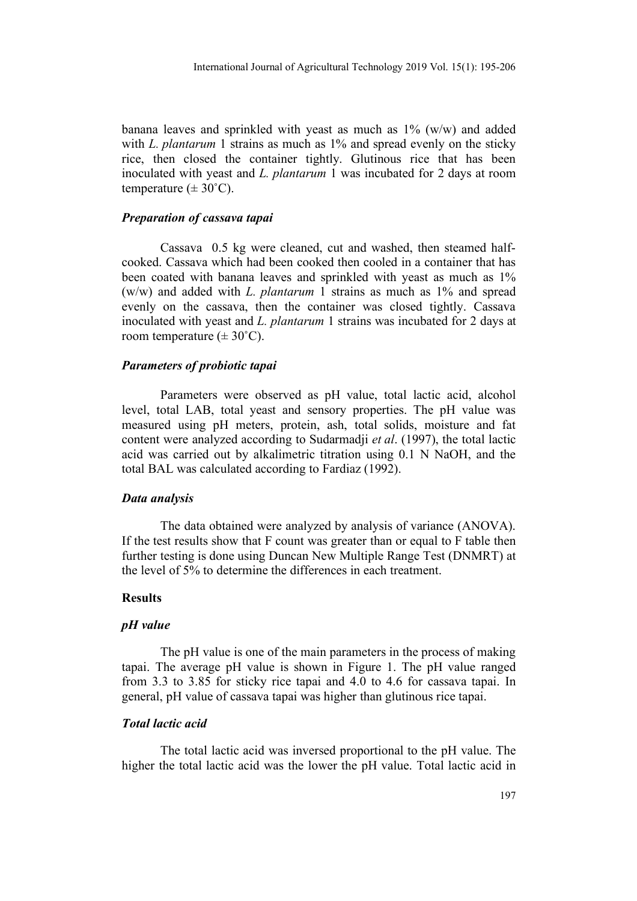banana leaves and sprinkled with yeast as much as 1% (w/w) and added with *L. plantarum* 1 strains as much as 1% and spread evenly on the sticky rice, then closed the container tightly. Glutinous rice that has been inoculated with yeast and *L. plantarum* 1 was incubated for 2 days at room temperature  $(\pm 30^{\circ} \text{C})$ .

## *Preparation of cassava tapai*

Cassava 0.5 kg were cleaned, cut and washed, then steamed halfcooked. Cassava which had been cooked then cooled in a container that has been coated with banana leaves and sprinkled with yeast as much as 1% (w/w) and added with *L. plantarum* 1 strains as much as 1% and spread evenly on the cassava, then the container was closed tightly. Cassava inoculated with yeast and *L. plantarum* 1 strains was incubated for 2 days at room temperature  $(\pm 30^{\circ} \text{C})$ .

#### *Parameters of probiotic tapai*

Parameters were observed as pH value, total lactic acid, alcohol level, total LAB, total yeast and sensory properties. The pH value was measured using pH meters, protein, ash, total solids, moisture and fat content were analyzed according to Sudarmadji *et al*. (1997), the total lactic acid was carried out by alkalimetric titration using 0.1 N NaOH, and the total BAL was calculated according to Fardiaz (1992).

#### *Data analysis*

The data obtained were analyzed by analysis of variance (ANOVA). If the test results show that F count was greater than or equal to F table then further testing is done using Duncan New Multiple Range Test (DNMRT) at the level of 5% to determine the differences in each treatment.

#### **Results**

#### *pH value*

The pH value is one of the main parameters in the process of making tapai. The average pH value is shown in Figure 1. The pH value ranged from 3.3 to 3.85 for sticky rice tapai and 4.0 to 4.6 for cassava tapai. In general, pH value of cassava tapai was higher than glutinous rice tapai.

#### *Total lactic acid*

The total lactic acid was inversed proportional to the pH value. The higher the total lactic acid was the lower the pH value. Total lactic acid in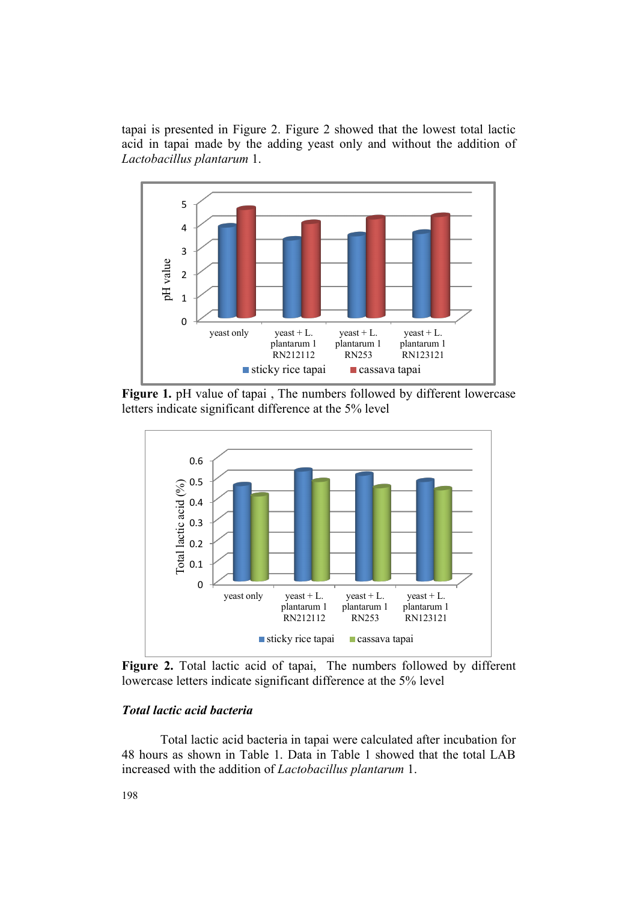tapai is presented in Figure 2. Figure 2 showed that the lowest total lactic acid in tapai made by the adding yeast only and without the addition of *Lactobacillus plantarum* 1.



**Figure 1.** pH value of tapai , The numbers followed by different lowercase letters indicate significant difference at the 5% level



**Figure 2.** Total lactic acid of tapai, The numbers followed by different lowercase letters indicate significant difference at the 5% level

## *Total lactic acid bacteria*

Total lactic acid bacteria in tapai were calculated after incubation for 48 hours as shown in Table 1. Data in Table 1 showed that the total LAB increased with the addition of *Lactobacillus plantarum* 1.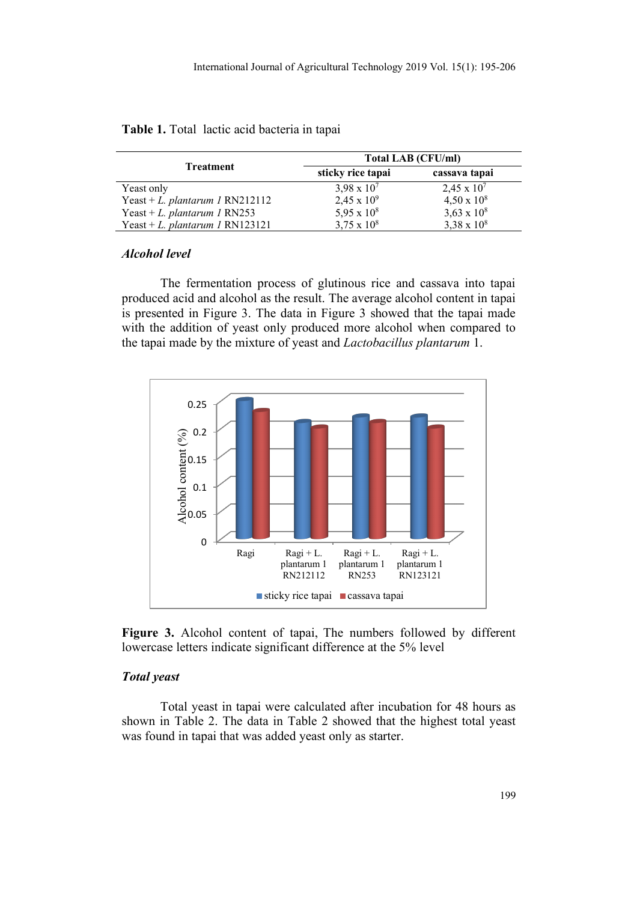|                                 | Total LAB (CFU/ml) |                    |  |  |
|---------------------------------|--------------------|--------------------|--|--|
| Treatment                       | sticky rice tapai  | cassava tapai      |  |  |
| Yeast only                      | $3,98 \times 10^7$ | $2,45 \times 10^7$ |  |  |
| Yeast + L. plantarum 1 RN212112 | $2,45 \times 10^9$ | $4,50 \times 10^8$ |  |  |
| Yeast + L. plantarum 1 RN253    | 5,95 x $10^8$      | $3,63 \times 10^8$ |  |  |
| Yeast + L. plantarum 1 RN123121 | $3,75 \times 10^8$ | $3,38 \times 10^8$ |  |  |

| Table 1. Total lactic acid bacteria in tapai |  |  |  |  |
|----------------------------------------------|--|--|--|--|

## *Alcohol level*

The fermentation process of glutinous rice and cassava into tapai produced acid and alcohol as the result. The average alcohol content in tapai is presented in Figure 3. The data in Figure 3 showed that the tapai made with the addition of yeast only produced more alcohol when compared to the tapai made by the mixture of yeast and *Lactobacillus plantarum* 1.



**Figure 3.** Alcohol content of tapai, The numbers followed by different lowercase letters indicate significant difference at the 5% level

# *Total yeast*

Total yeast in tapai were calculated after incubation for 48 hours as shown in Table 2. The data in Table 2 showed that the highest total yeast was found in tapai that was added yeast only as starter.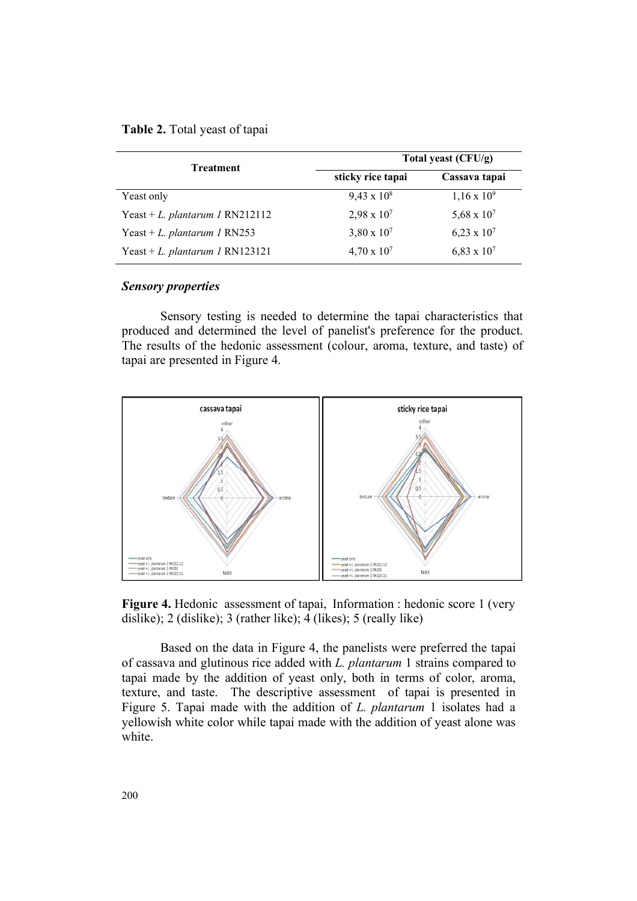| Table 2. Total yeast of tapai |  |  |
|-------------------------------|--|--|
|                               |  |  |

| <b>Treatment</b>                | Total yeast (CFU/g)  |                      |  |  |
|---------------------------------|----------------------|----------------------|--|--|
|                                 | sticky rice tapai    | Cassava tapai        |  |  |
| Yeast only                      | $9,43 \times 10^8$   | $1,16 \times 10^{9}$ |  |  |
| Yeast + L. plantarum 1 RN212112 | $2,98 \times 10^7$   | 5,68 x $10^{7}$      |  |  |
| Yeast + L. plantarum 1 RN253    | $3,80 \times 10^{7}$ | $6,23 \times 10^7$   |  |  |
| Yeast + L. plantarum 1 RN123121 | $4,70 \times 10^{7}$ | $6,83 \times 10^7$   |  |  |

#### *Sensory properties*

Sensory testing is needed to determine the tapai characteristics that produced and determined the level of panelist's preference for the product. The results of the hedonic assessment (colour, aroma, texture, and taste) of tapai are presented in Figure 4.



**Figure 4.** Hedonic assessment of tapai, Information : hedonic score 1 (very) dislike); 2 (dislike); 3 (rather like); 4 (likes); 5 (really like)

Based on the data in Figure 4, the panelists were preferred the tapai of cassava and glutinous rice added with *L. plantarum* 1 strains compared to tapai made by the addition of yeast only, both in terms of color, aroma, texture, and taste. The descriptive assessment of tapai is presented in Figure 5. Tapai made with the addition of *L. plantarum* 1 isolates had a yellowish white color while tapai made with the addition of yeast alone was white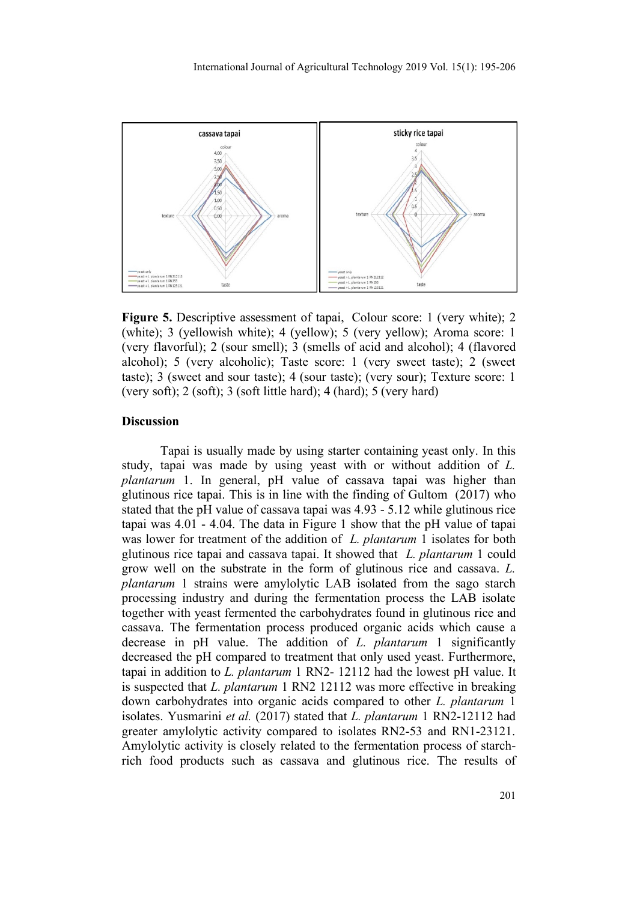

**Figure 5.** Descriptive assessment of tapai, Colour score: 1 (very white); 2 (white); 3 (yellowish white); 4 (yellow); 5 (very yellow); Aroma score: 1 (very flavorful); 2 (sour smell); 3 (smells of acid and alcohol); 4 (flavored alcohol); 5 (very alcoholic); Taste score: 1 (very sweet taste); 2 (sweet taste); 3 (sweet and sour taste); 4 (sour taste); (very sour); Texture score: 1 (very soft);  $2$  (soft);  $3$  (soft little hard);  $4$  (hard);  $5$  (very hard)

## **Discussion**

Tapai is usually made by using starter containing yeast only. In this study, tapai was made by using yeast with or without addition of *L. plantarum* 1. In general, pH value of cassava tapai was higher than glutinous rice tapai. This is in line with the finding of Gultom (2017) who stated that the pH value of cassava tapai was 4.93 - 5.12 while glutinous rice tapai was 4.01 - 4.04. The data in Figure 1 show that the pH value of tapai was lower for treatment of the addition of *L. plantarum* 1 isolates for both glutinous rice tapai and cassava tapai. It showed that *L. plantarum* 1 could grow well on the substrate in the form of glutinous rice and cassava. *L. plantarum* 1 strains were amylolytic LAB isolated from the sago starch processing industry and during the fermentation process the LAB isolate together with yeast fermented the carbohydrates found in glutinous rice and cassava. The fermentation process produced organic acids which cause a decrease in pH value. The addition of *L. plantarum* 1 significantly decreased the pH compared to treatment that only used yeast. Furthermore, tapai in addition to *L. plantarum* 1 RN2- 12112 had the lowest pH value. It is suspected that *L. plantarum* 1 RN2 12112 was more effective in breaking down carbohydrates into organic acids compared to other *L. plantarum* 1 isolates. Yusmarini *et al.* (2017) stated that *L. plantarum* 1 RN2-12112 had greater amylolytic activity compared to isolates RN2-53 and RN1-23121. Amylolytic activity is closely related to the fermentation process of starchrich food products such as cassava and glutinous rice. The results of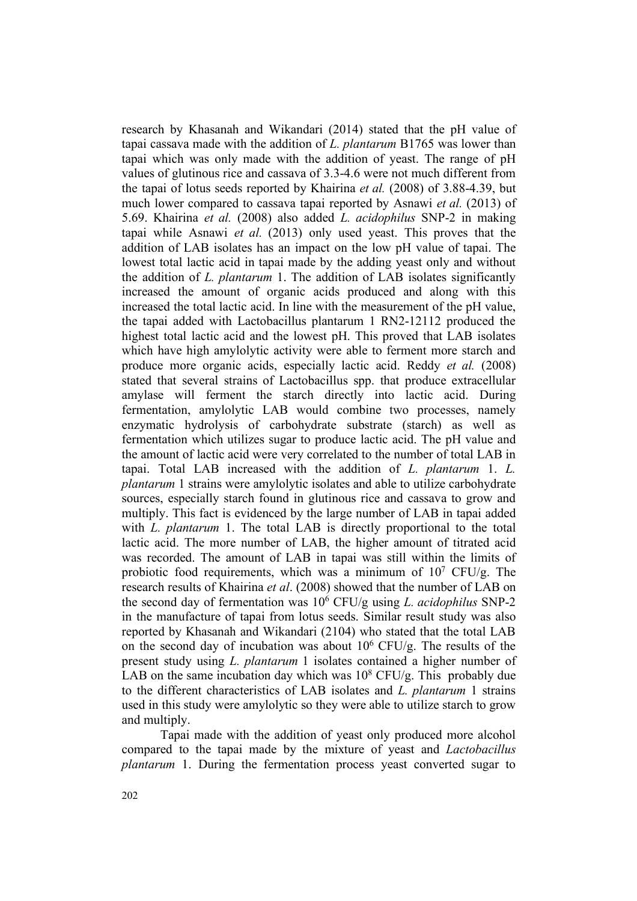research by Khasanah and Wikandari (2014) stated that the pH value of tapai cassava made with the addition of *L. plantarum* B1765 was lower than tapai which was only made with the addition of yeast. The range of pH values of glutinous rice and cassava of 3.3-4.6 were not much different from the tapai of lotus seeds reported by Khairina *et al.* (2008) of 3.88-4.39, but much lower compared to cassava tapai reported by Asnawi *et al.* (2013) of 5.69. Khairina *et al.* (2008) also added *L. acidophilus* SNP-2 in making tapai while Asnawi *et al.* (2013) only used yeast. This proves that the addition of LAB isolates has an impact on the low pH value of tapai. The lowest total lactic acid in tapai made by the adding yeast only and without the addition of *L. plantarum* 1. The addition of LAB isolates significantly increased the amount of organic acids produced and along with this increased the total lactic acid. In line with the measurement of the pH value, the tapai added with Lactobacillus plantarum 1 RN2-12112 produced the highest total lactic acid and the lowest pH. This proved that LAB isolates which have high amylolytic activity were able to ferment more starch and produce more organic acids, especially lactic acid. Reddy *et al.* (2008) stated that several strains of Lactobacillus spp. that produce extracellular amylase will ferment the starch directly into lactic acid. During fermentation, amylolytic LAB would combine two processes, namely enzymatic hydrolysis of carbohydrate substrate (starch) as well as fermentation which utilizes sugar to produce lactic acid. The pH value and the amount of lactic acid were very correlated to the number of total LAB in tapai. Total LAB increased with the addition of *L. plantarum* 1. *L. plantarum* 1 strains were amylolytic isolates and able to utilize carbohydrate sources, especially starch found in glutinous rice and cassava to grow and multiply. This fact is evidenced by the large number of LAB in tapai added with *L. plantarum* 1. The total LAB is directly proportional to the total lactic acid. The more number of LAB, the higher amount of titrated acid was recorded. The amount of LAB in tapai was still within the limits of probiotic food requirements, which was a minimum of  $10<sup>7</sup>$  CFU/g. The research results of Khairina *et al*. (2008) showed that the number of LAB on the second day of fermentation was 106 CFU/g using *L. acidophilus* SNP-2 in the manufacture of tapai from lotus seeds. Similar result study was also reported by Khasanah and Wikandari (2104) who stated that the total LAB on the second day of incubation was about  $10^6$  CFU/g. The results of the present study using *L. plantarum* 1 isolates contained a higher number of LAB on the same incubation day which was  $10^8$  CFU/g. This probably due to the different characteristics of LAB isolates and *L. plantarum* 1 strains used in this study were amylolytic so they were able to utilize starch to grow and multiply.

Tapai made with the addition of yeast only produced more alcohol compared to the tapai made by the mixture of yeast and *Lactobacillus plantarum* 1. During the fermentation process yeast converted sugar to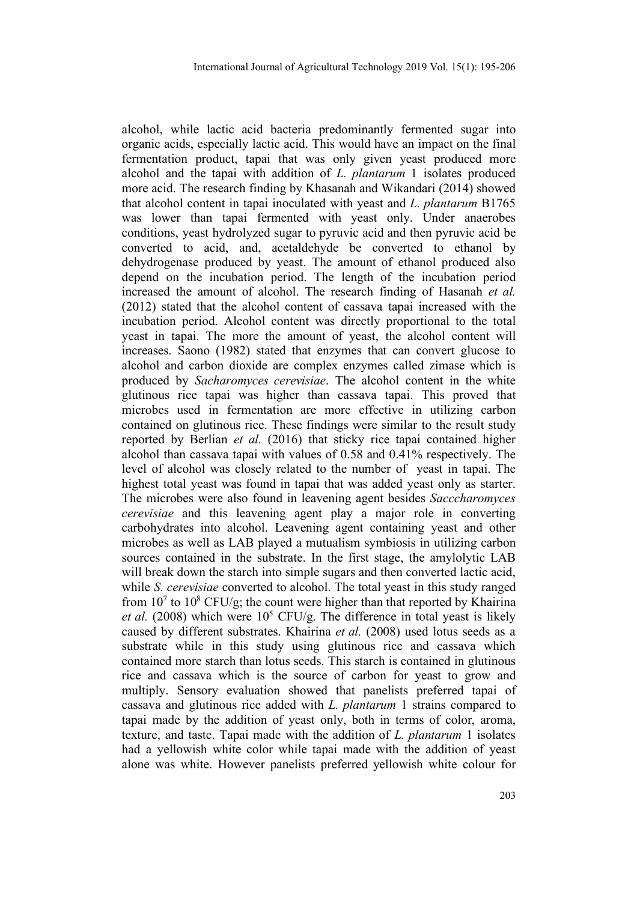alcohol, while lactic acid bacteria predominantly fermented sugar into organic acids, especially lactic acid. This would have an impact on the final fermentation product, tapai that was only given yeast produced more alcohol and the tapai with addition of *L. plantarum* 1 isolates produced more acid. The research finding by Khasanah and Wikandari (2014) showed that alcohol content in tapai inoculated with yeast and *L. plantarum* B1765 was lower than tapai fermented with yeast only. Under anaerobes conditions, yeast hydrolyzed sugar to pyruvic acid and then pyruvic acid be converted to acid, and, acetaldehyde be converted to ethanol by dehydrogenase produced by yeast. The amount of ethanol produced also depend on the incubation period. The length of the incubation period increased the amount of alcohol. The research finding of Hasanah *et al.* (2012) stated that the alcohol content of cassava tapai increased with the incubation period. Alcohol content was directly proportional to the total yeast in tapai. The more the amount of yeast, the alcohol content will increases. Saono (1982) stated that enzymes that can convert glucose to alcohol and carbon dioxide are complex enzymes called zimase which is produced by *Sacharomyces cerevisiae*. The alcohol content in the white glutinous rice tapai was higher than cassava tapai. This proved that microbes used in fermentation are more effective in utilizing carbon contained on glutinous rice. These findings were similar to the result study reported by Berlian *et al.* (2016) that sticky rice tapai contained higher alcohol than cassava tapai with values of 0.58 and 0.41% respectively. The level of alcohol was closely related to the number of yeast in tapai. The highest total yeast was found in tapai that was added yeast only as starter. The microbes were also found in leavening agent besides *Sacccharomyces cerevisiae* and this leavening agent play a major role in converting carbohydrates into alcohol. Leavening agent containing yeast and other microbes as well as LAB played a mutualism symbiosis in utilizing carbon sources contained in the substrate. In the first stage, the amylolytic LAB will break down the starch into simple sugars and then converted lactic acid, while *S. cerevisiae* converted to alcohol. The total yeast in this study ranged from  $10<sup>7</sup>$  to  $10<sup>8</sup>$  CFU/g; the count were higher than that reported by Khairina *et al.* (2008) which were  $10^5$  CFU/g. The difference in total yeast is likely caused by different substrates. Khairina *et al.* (2008) used lotus seeds as a substrate while in this study using glutinous rice and cassava which contained more starch than lotus seeds. This starch is contained in glutinous rice and cassava which is the source of carbon for yeast to grow and multiply. Sensory evaluation showed that panelists preferred tapai of cassava and glutinous rice added with *L. plantarum* 1 strains compared to tapai made by the addition of yeast only, both in terms of color, aroma, texture, and taste. Tapai made with the addition of *L. plantarum* 1 isolates had a yellowish white color while tapai made with the addition of yeast alone was white. However panelists preferred yellowish white colour for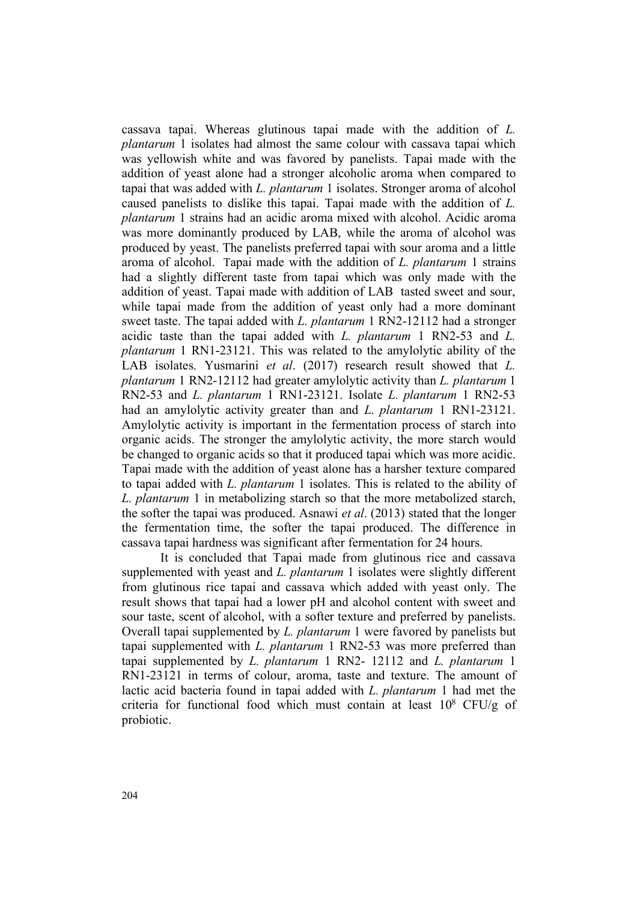cassava tapai. Whereas glutinous tapai made with the addition of *L. plantarum* 1 isolates had almost the same colour with cassava tapai which was yellowish white and was favored by panelists. Tapai made with the addition of yeast alone had a stronger alcoholic aroma when compared to tapai that was added with *L. plantarum* 1 isolates. Stronger aroma of alcohol caused panelists to dislike this tapai. Tapai made with the addition of *L. plantarum* 1 strains had an acidic aroma mixed with alcohol. Acidic aroma was more dominantly produced by LAB, while the aroma of alcohol was produced by yeast. The panelists preferred tapai with sour aroma and a little aroma of alcohol. Tapai made with the addition of *L. plantarum* 1 strains had a slightly different taste from tapai which was only made with the addition of yeast. Tapai made with addition of LAB tasted sweet and sour, while tapai made from the addition of yeast only had a more dominant sweet taste. The tapai added with *L. plantarum* 1 RN2-12112 had a stronger acidic taste than the tapai added with *L. plantarum* 1 RN2-53 and *L. plantarum* 1 RN1-23121. This was related to the amylolytic ability of the LAB isolates. Yusmarini *et al*. (2017) research result showed that *L. plantarum* 1 RN2-12112 had greater amylolytic activity than *L. plantarum* 1 RN2-53 and *L. plantarum* 1 RN1-23121. Isolate *L. plantarum* 1 RN2-53 had an amylolytic activity greater than and *L. plantarum* 1 RN1-23121. Amylolytic activity is important in the fermentation process of starch into organic acids. The stronger the amylolytic activity, the more starch would be changed to organic acids so that it produced tapai which was more acidic. Tapai made with the addition of yeast alone has a harsher texture compared to tapai added with *L. plantarum* 1 isolates. This is related to the ability of *L. plantarum* 1 in metabolizing starch so that the more metabolized starch, the softer the tapai was produced. Asnawi *et al*. (2013) stated that the longer the fermentation time, the softer the tapai produced. The difference in cassava tapai hardness was significant after fermentation for 24 hours.

It is concluded that Tapai made from glutinous rice and cassava supplemented with yeast and *L. plantarum* 1 isolates were slightly different from glutinous rice tapai and cassava which added with yeast only. The result shows that tapai had a lower pH and alcohol content with sweet and sour taste, scent of alcohol, with a softer texture and preferred by panelists. Overall tapai supplemented by *L. plantarum* 1 were favored by panelists but tapai supplemented with *L. plantarum* 1 RN2-53 was more preferred than tapai supplemented by *L. plantarum* 1 RN2- 12112 and *L. plantarum* 1 RN1-23121 in terms of colour, aroma, taste and texture. The amount of lactic acid bacteria found in tapai added with *L. plantarum* 1 had met the criteria for functional food which must contain at least  $10^8$  CFU/g of probiotic.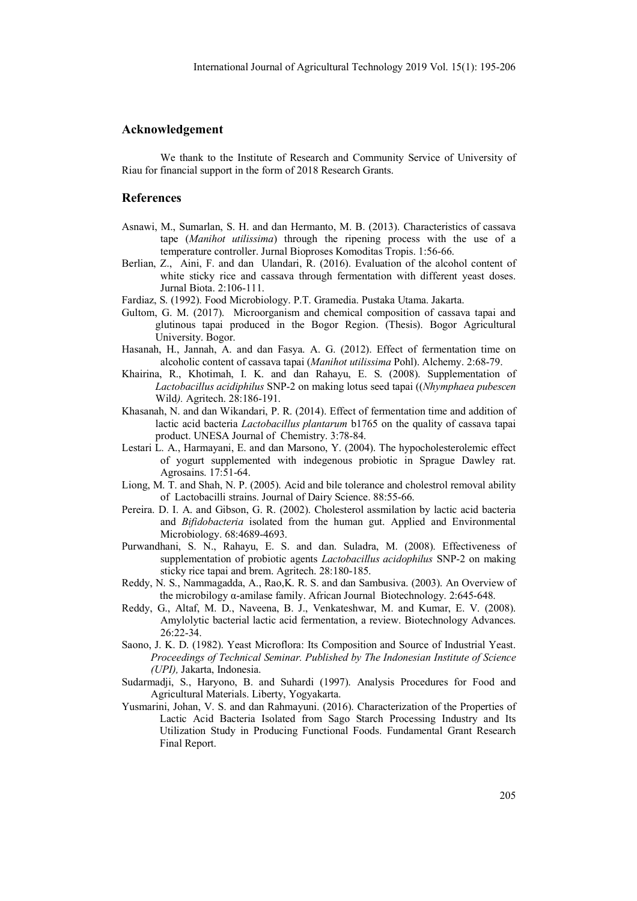#### **Acknowledgement**

We thank to the Institute of Research and Community Service of University of Riau for financial support in the form of 2018 Research Grants.

#### **References**

- Asnawi, M., Sumarlan, S. H. and dan Hermanto, M. B. (2013). Characteristics of cassava tape (*Manihot utilissima*) through the ripening process with the use of a temperature controller. Jurnal Bioproses Komoditas Tropis. 1:56-66.
- Berlian, Z., Aini, F. and dan Ulandari, R. (2016). Evaluation of the alcohol content of white sticky rice and cassava through fermentation with different yeast doses. Jurnal Biota. 2:106-111.
- Fardiaz, S. (1992). Food Microbiology. P.T. Gramedia. Pustaka Utama. Jakarta.
- Gultom, G. M. (2017). Microorganism and chemical composition of cassava tapai and glutinous tapai produced in the Bogor Region. (Thesis). Bogor Agricultural University. Bogor.
- Hasanah, H., Jannah, A. and dan Fasya. A. G. (2012). Effect of fermentation time on alcoholic content of cassava tapai (*Manihot utilissima* Pohl). Alchemy. 2:68-79.
- Khairina, R., Khotimah, I. K. and dan Rahayu, E. S. (2008). Supplementation of *Lactobacillus acidiphilus* SNP-2 on making lotus seed tapai ((*Nhymphaea pubescen*  Wild*).* Agritech. 28:186-191.
- Khasanah, N. and dan Wikandari, P. R. (2014). Effect of fermentation time and addition of lactic acid bacteria *Lactobacillus plantarum* b1765 on the quality of cassava tapai product. UNESA Journal of Chemistry. 3:78-84.
- Lestari L. A., Harmayani, E. and dan Marsono, Y. (2004). The hypocholesterolemic effect of yogurt supplemented with indegenous probiotic in Sprague Dawley rat. Agrosains. 17:51-64.
- Liong, M. T. and Shah, N. P. (2005). Acid and bile tolerance and cholestrol removal ability of Lactobacilli strains. Journal of Dairy Science. 88:55-66.
- Pereira. D. I. A. and Gibson, G. R. (2002). Cholesterol assmilation by lactic acid bacteria and *Bifidobacteria* isolated from the human gut. Applied and Environmental Microbiology. 68:4689-4693.
- Purwandhani, S. N., Rahayu, E. S. and dan. Suladra, M. (2008). Effectiveness of supplementation of probiotic agents *Lactobacillus acidophilus* SNP-2 on making sticky rice tapai and brem. Agritech. 28:180-185.
- Reddy, N. S., Nammagadda, A., Rao,K. R. S. and dan Sambusiva. (2003). An Overview of the microbilogy α-amilase family. African Journal Biotechnology. 2:645-648.
- Reddy, G., Altaf, M. D., Naveena, B. J., Venkateshwar, M. and Kumar, E. V. (2008). Amylolytic bacterial lactic acid fermentation, a review. Biotechnology Advances. 26:22-34.
- Saono, J. K. D. (1982). Yeast Microflora: Its Composition and Source of Industrial Yeast. *Proceedings of Technical Seminar. Published by The Indonesian Institute of Science (UPI),* Jakarta, Indonesia.
- Sudarmadji, S., Haryono, B. and Suhardi (1997). Analysis Procedures for Food and Agricultural Materials. Liberty, Yogyakarta.
- Yusmarini, Johan, V. S. and dan Rahmayuni. (2016). Characterization of the Properties of Lactic Acid Bacteria Isolated from Sago Starch Processing Industry and Its Utilization Study in Producing Functional Foods. Fundamental Grant Research Final Report.